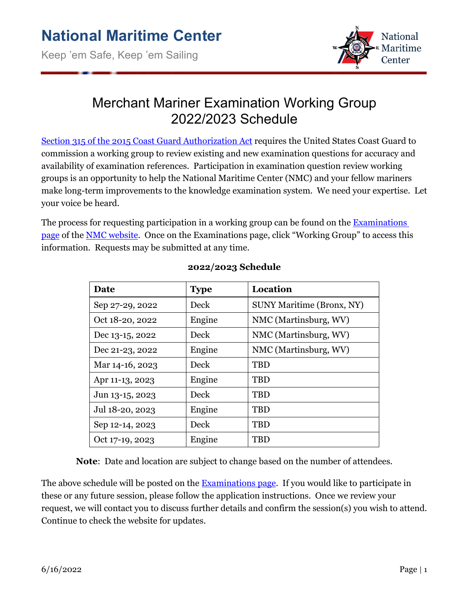

## Merchant Mariner Examination Working Group 2022/2023 Schedule

[Section 315 of the 2015 Coast Guard Authorization Act](https://www.gpo.gov/fdsys/pkg/PLAW-114publ120/pdf/PLAW-114publ120.pdf) requires the United States Coast Guard to commission a working group to review existing and new examination questions for accuracy and availability of examination references. Participation in examination question review working groups is an opportunity to help the National Maritime Center (NMC) and your fellow mariners make long-term improvements to the knowledge examination system. We need your expertise. Let your voice be heard.

The process for requesting participation in a working group can be found on the Examinations [page](https://www.dco.uscg.mil/nmc/examinations/) of the [NMC website.](http://www.uscg.mil/nmc) Once on the Examinations page, click "Working Group" to access this information. Requests may be submitted at any time.

| Date            | <b>Type</b> | Location                         |
|-----------------|-------------|----------------------------------|
| Sep 27-29, 2022 | Deck        | <b>SUNY Maritime (Bronx, NY)</b> |
| Oct 18-20, 2022 | Engine      | NMC (Martinsburg, WV)            |
| Dec 13-15, 2022 | Deck        | NMC (Martinsburg, WV)            |
| Dec 21-23, 2022 | Engine      | NMC (Martinsburg, WV)            |
| Mar 14-16, 2023 | Deck        | <b>TBD</b>                       |
| Apr 11-13, 2023 | Engine      | <b>TBD</b>                       |
| Jun 13-15, 2023 | Deck        | <b>TBD</b>                       |
| Jul 18-20, 2023 | Engine      | <b>TBD</b>                       |
| Sep 12-14, 2023 | Deck        | <b>TBD</b>                       |
| Oct 17-19, 2023 | Engine      | <b>TBD</b>                       |

## **2022/2023 Schedule**

**Note**: Date and location are subject to change based on the number of attendees.

The above schedule will be posted on the **Examinations page**. If you would like to participate in these or any future session, please follow the application instructions. Once we review your request, we will contact you to discuss further details and confirm the session(s) you wish to attend. Continue to check the website for updates.